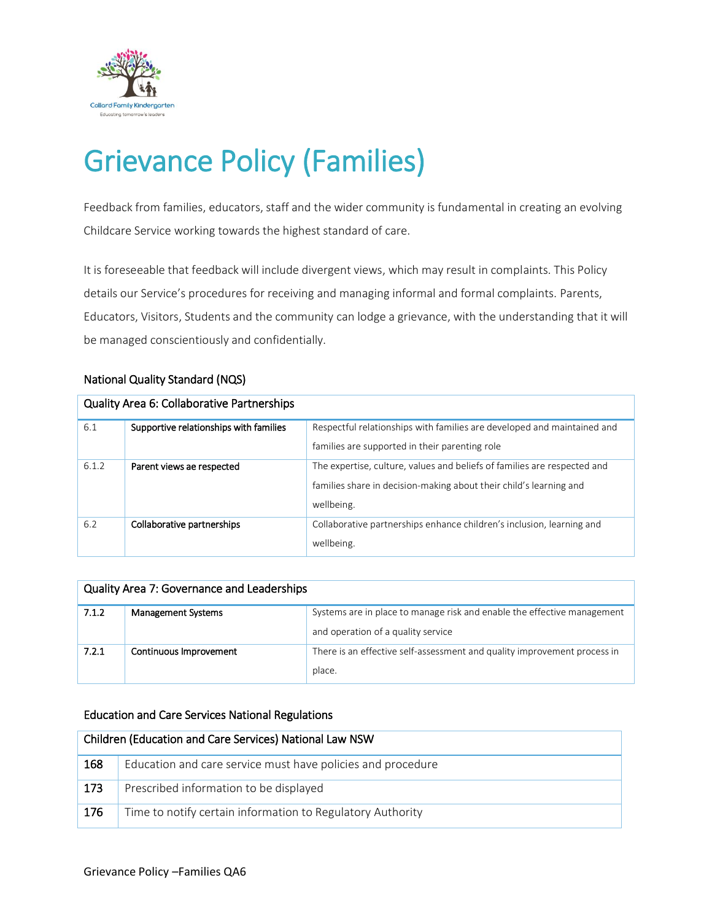

# Grievance Policy (Families)

Feedback from families, educators, staff and the wider community is fundamental in creating an evolving Childcare Service working towards the highest standard of care.

It is foreseeable that feedback will include divergent views, which may result in complaints. This Policy details our Service's procedures for receiving and managing informal and formal complaints. Parents, Educators, Visitors, Students and the community can lodge a grievance, with the understanding that it will be managed conscientiously and confidentially.

## National Quality Standard (NQS)

| <b>Quality Area 6: Collaborative Partnerships</b> |                                        |                                                                                                                                                              |  |  |  |  |
|---------------------------------------------------|----------------------------------------|--------------------------------------------------------------------------------------------------------------------------------------------------------------|--|--|--|--|
| 6.1                                               | Supportive relationships with families | Respectful relationships with families are developed and maintained and<br>families are supported in their parenting role                                    |  |  |  |  |
| 6.1.2                                             | Parent views ae respected              | The expertise, culture, values and beliefs of families are respected and<br>families share in decision-making about their child's learning and<br>wellbeing. |  |  |  |  |
| 6.2                                               | Collaborative partnerships             | Collaborative partnerships enhance children's inclusion, learning and<br>wellbeing.                                                                          |  |  |  |  |

| Quality Area 7: Governance and Leaderships |                           |                                                                                                               |  |  |  |  |
|--------------------------------------------|---------------------------|---------------------------------------------------------------------------------------------------------------|--|--|--|--|
| 7.1.2                                      | <b>Management Systems</b> | Systems are in place to manage risk and enable the effective management<br>and operation of a quality service |  |  |  |  |
| 7.2.1                                      | Continuous Improvement    | There is an effective self-assessment and quality improvement process in<br>place.                            |  |  |  |  |

#### Education and Care Services National Regulations

| Children (Education and Care Services) National Law NSW |                                                             |  |  |  |
|---------------------------------------------------------|-------------------------------------------------------------|--|--|--|
| 168                                                     | Education and care service must have policies and procedure |  |  |  |
| 173                                                     | Prescribed information to be displayed                      |  |  |  |
| 176                                                     | Time to notify certain information to Regulatory Authority  |  |  |  |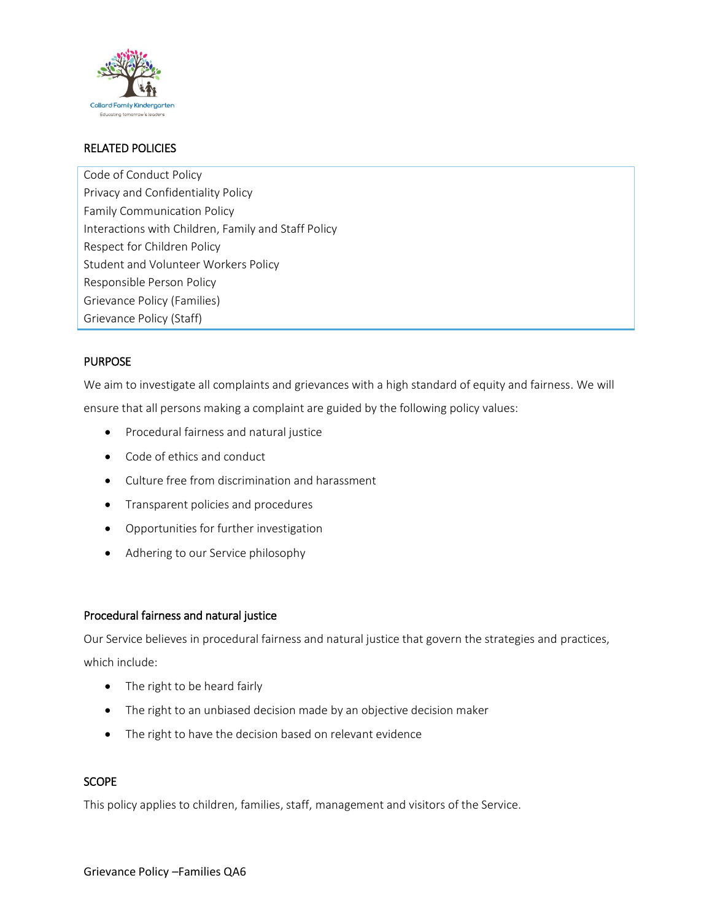

## RELATED POLICIES

Code of Conduct Policy Privacy and Confidentiality Policy Family Communication Policy Interactions with Children, Family and Staff Policy Respect for Children Policy Student and Volunteer Workers Policy Responsible Person Policy Grievance Policy (Families) Grievance Policy (Staff)

## PURPOSE

We aim to investigate all complaints and grievances with a high standard of equity and fairness. We will ensure that all persons making a complaint are guided by the following policy values:

- Procedural fairness and natural justice
- Code of ethics and conduct
- Culture free from discrimination and harassment
- **•** Transparent policies and procedures
- Opportunities for further investigation
- Adhering to our Service philosophy

#### Procedural fairness and natural justice

Our Service believes in procedural fairness and natural justice that govern the strategies and practices, which include:

- The right to be heard fairly
- The right to an unbiased decision made by an objective decision maker
- The right to have the decision based on relevant evidence

#### **SCOPE**

This policy applies to children, families, staff, management and visitors of the Service.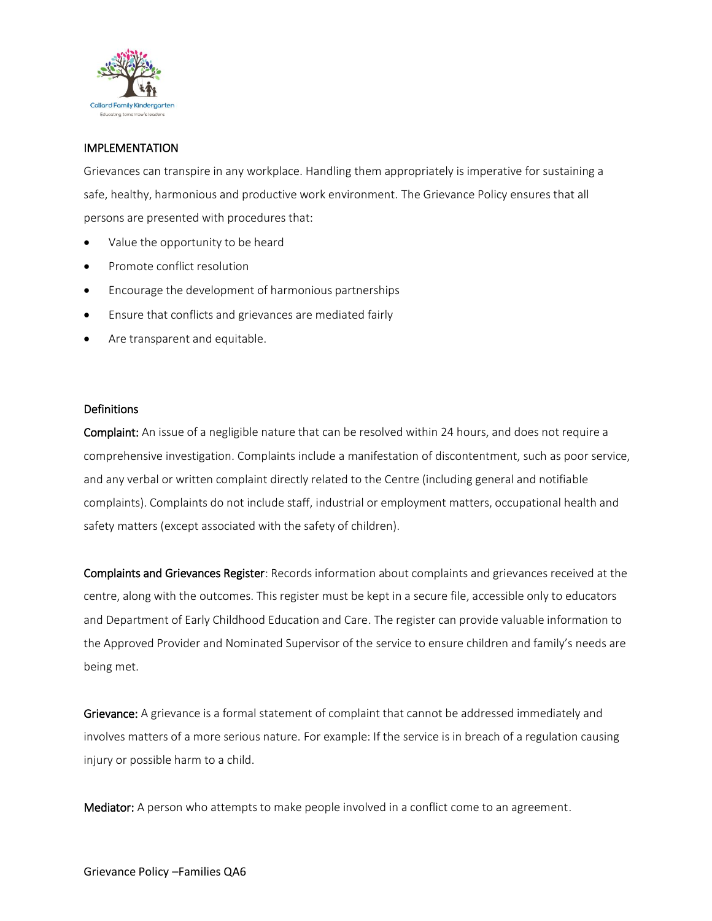

## IMPLEMENTATION

Grievances can transpire in any workplace. Handling them appropriately is imperative for sustaining a safe, healthy, harmonious and productive work environment. The Grievance Policy ensures that all persons are presented with procedures that:

- Value the opportunity to be heard
- Promote conflict resolution
- Encourage the development of harmonious partnerships
- Ensure that conflicts and grievances are mediated fairly
- Are transparent and equitable.

#### **Definitions**

Complaint: An issue of a negligible nature that can be resolved within 24 hours, and does not require a comprehensive investigation. Complaints include a manifestation of discontentment, such as poor service, and any verbal or written complaint directly related to the Centre (including general and notifiable complaints). Complaints do not include staff, industrial or employment matters, occupational health and safety matters (except associated with the safety of children).

Complaints and Grievances Register: Records information about complaints and grievances received at the centre, along with the outcomes. This register must be kept in a secure file, accessible only to educators and Department of Early Childhood Education and Care. The register can provide valuable information to the Approved Provider and Nominated Supervisor of the service to ensure children and family's needs are being met.

Grievance: A grievance is a formal statement of complaint that cannot be addressed immediately and involves matters of a more serious nature. For example: If the service is in breach of a regulation causing injury or possible harm to a child.

Mediator: A person who attempts to make people involved in a conflict come to an agreement.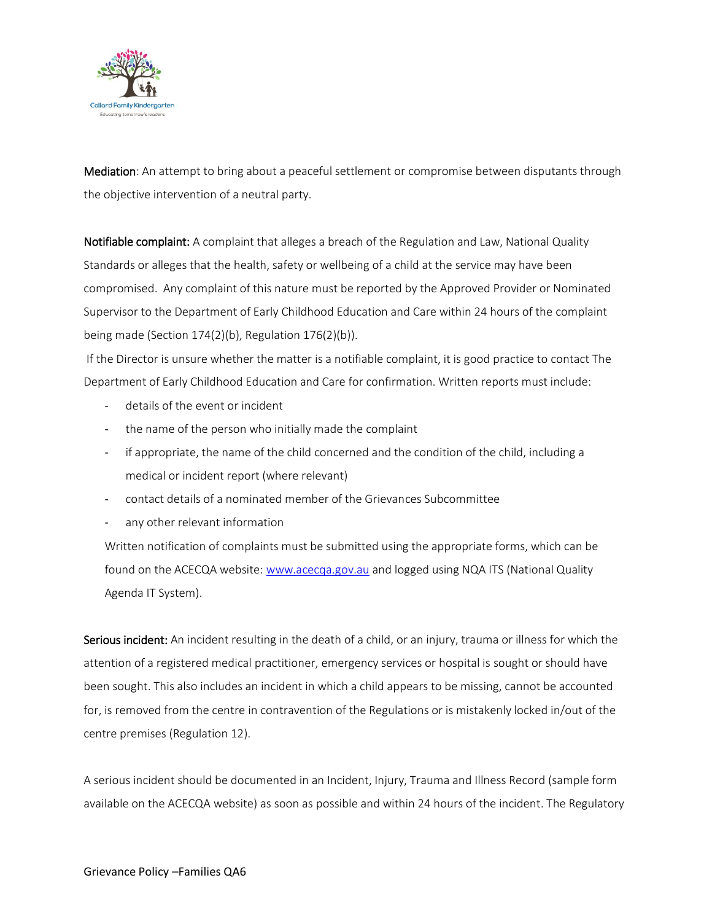

Mediation: An attempt to bring about a peaceful settlement or compromise between disputants through the objective intervention of a neutral party.

Notifiable complaint: A complaint that alleges a breach of the Regulation and Law, National Quality Standards or alleges that the health, safety or wellbeing of a child at the service may have been compromised. Any complaint of this nature must be reported by the Approved Provider or Nominated Supervisor to the Department of Early Childhood Education and Care within 24 hours of the complaint being made (Section 174(2)(b), Regulation 176(2)(b)).

If the Director is unsure whether the matter is a notifiable complaint, it is good practice to contact The Department of Early Childhood Education and Care for confirmation. Written reports must include:

- details of the event or incident
- the name of the person who initially made the complaint
- if appropriate, the name of the child concerned and the condition of the child, including a medical or incident report (where relevant)
- contact details of a nominated member of the Grievances Subcommittee
- any other relevant information

Written notification of complaints must be submitted using the appropriate forms, which can be found on the ACECQA website: [www.acecqa.gov.au](http://www.acecqa.gov.au/) and logged using NQA ITS (National Quality Agenda IT System).

Serious incident: An incident resulting in the death of a child, or an injury, trauma or illness for which the attention of a registered medical practitioner, emergency services or hospital is sought or should have been sought. This also includes an incident in which a child appears to be missing, cannot be accounted for, is removed from the centre in contravention of the Regulations or is mistakenly locked in/out of the centre premises (Regulation 12).

A serious incident should be documented in an Incident, Injury, Trauma and Illness Record (sample form available on the ACECQA website) as soon as possible and within 24 hours of the incident. The Regulatory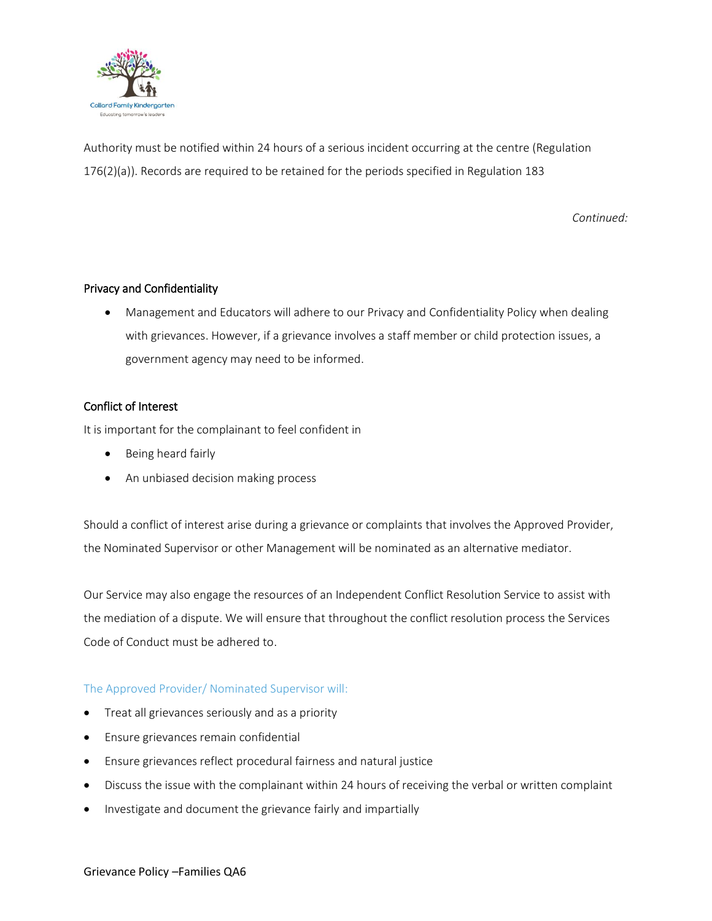

Authority must be notified within 24 hours of a serious incident occurring at the centre (Regulation 176(2)(a)). Records are required to be retained for the periods specified in Regulation 183

*Continued:*

#### Privacy and Confidentiality

 Management and Educators will adhere to our Privacy and Confidentiality Policy when dealing with grievances. However, if a grievance involves a staff member or child protection issues, a government agency may need to be informed.

#### Conflict of Interest

It is important for the complainant to feel confident in

- Being heard fairly
- An unbiased decision making process

Should a conflict of interest arise during a grievance or complaints that involves the Approved Provider, the Nominated Supervisor or other Management will be nominated as an alternative mediator.

Our Service may also engage the resources of an Independent Conflict Resolution Service to assist with the mediation of a dispute. We will ensure that throughout the conflict resolution process the Services Code of Conduct must be adhered to.

#### The Approved Provider/ Nominated Supervisor will:

- Treat all grievances seriously and as a priority
- Ensure grievances remain confidential
- Ensure grievances reflect procedural fairness and natural justice
- Discuss the issue with the complainant within 24 hours of receiving the verbal or written complaint
- Investigate and document the grievance fairly and impartially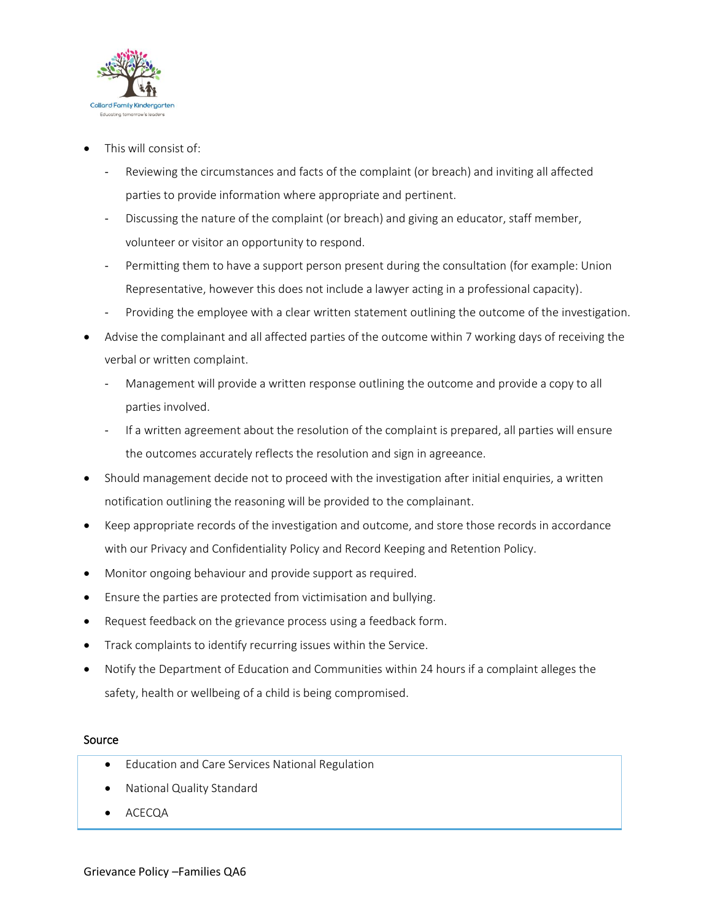

- This will consist of:
	- Reviewing the circumstances and facts of the complaint (or breach) and inviting all affected parties to provide information where appropriate and pertinent.
	- Discussing the nature of the complaint (or breach) and giving an educator, staff member, volunteer or visitor an opportunity to respond.
	- Permitting them to have a support person present during the consultation (for example: Union Representative, however this does not include a lawyer acting in a professional capacity).
	- Providing the employee with a clear written statement outlining the outcome of the investigation.
- Advise the complainant and all affected parties of the outcome within 7 working days of receiving the verbal or written complaint.
	- Management will provide a written response outlining the outcome and provide a copy to all parties involved.
	- If a written agreement about the resolution of the complaint is prepared, all parties will ensure the outcomes accurately reflects the resolution and sign in agreeance.
- Should management decide not to proceed with the investigation after initial enquiries, a written notification outlining the reasoning will be provided to the complainant.
- Keep appropriate records of the investigation and outcome, and store those records in accordance with our Privacy and Confidentiality Policy and Record Keeping and Retention Policy.
- Monitor ongoing behaviour and provide support as required.
- Ensure the parties are protected from victimisation and bullying.
- Request feedback on the grievance process using a feedback form.
- Track complaints to identify recurring issues within the Service.
- Notify the Department of Education and Communities within 24 hours if a complaint alleges the safety, health or wellbeing of a child is being compromised.

#### Source

- Education and Care Services National Regulation
- National Quality Standard
- ACECQA